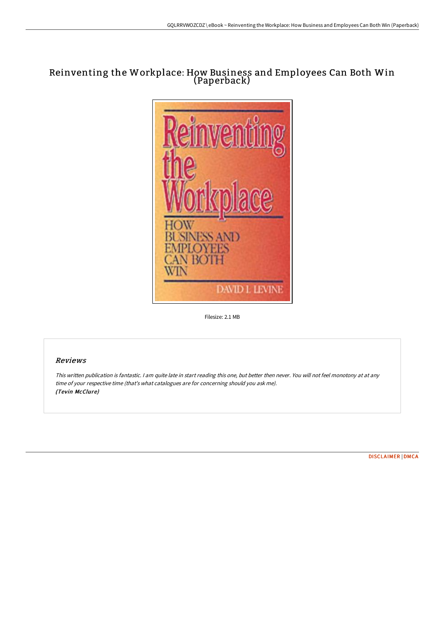# Reinventing the Workplace: How Business and Employees Can Both Win (Paperback)



Filesize: 2.1 MB

### Reviews

This written publication is fantastic. <sup>I</sup> am quite late in start reading this one, but better then never. You will not feel monotony at at any time of your respective time (that's what catalogues are for concerning should you ask me). (Tevin McClure)

[DISCLAIMER](http://albedo.media/disclaimer.html) | [DMCA](http://albedo.media/dmca.html)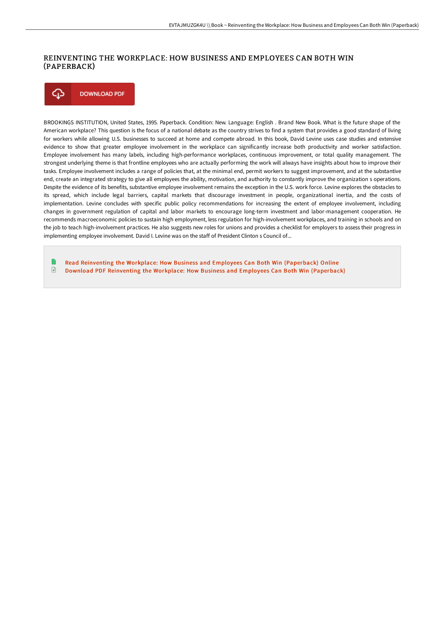## REINVENTING THE WORKPLACE: HOW BUSINESS AND EMPLOYEES CAN BOTH WIN (PAPERBACK)

⊕ **DOWNLOAD PDF** 

BROOKINGS INSTITUTION, United States, 1995. Paperback. Condition: New. Language: English . Brand New Book. What is the future shape of the American workplace? This question is the focus of a national debate as the country strives to find a system that provides a good standard of living for workers while allowing U.S. businesses to succeed at home and compete abroad. In this book, David Levine uses case studies and extensive evidence to show that greater employee involvement in the workplace can significantly increase both productivity and worker satisfaction. Employee involvement has many labels, including high-performance workplaces, continuous improvement, or total quality management. The strongest underlying theme is that frontline employees who are actually performing the work will always have insights about how to improve their tasks. Employee involvement includes a range of policies that, at the minimal end, permit workers to suggest improvement, and at the substantive end, create an integrated strategy to give all employees the ability, motivation, and authority to constantly improve the organization s operations. Despite the evidence of its benefits, substantive employee involvement remains the exception in the U.S. work force. Levine explores the obstacles to its spread, which include legal barriers, capital markets that discourage investment in people, organizational inertia, and the costs of implementation. Levine concludes with specific public policy recommendations for increasing the extent of employee involvement, including changes in government regulation of capital and labor markets to encourage long-term investment and labor-management cooperation. He recommends macroeconomic policies to sustain high employment, less regulation for high-involvement workplaces, and training in schools and on the job to teach high-involvement practices. He also suggests new roles for unions and provides a checklist for employers to assess their progress in implementing employee involvement. David I. Levine was on the staff of President Clinton s Council of...

Read Reinventing the Workplace: How Business and Employees Can Both Win [\(Paperback\)](http://albedo.media/reinventing-the-workplace-how-business-and-emplo.html) Online  $\textcolor{red}{\Box}$ Download PDF Reinventing the Workplace: How Business and Employees Can Both Win [\(Paperback\)](http://albedo.media/reinventing-the-workplace-how-business-and-emplo.html)